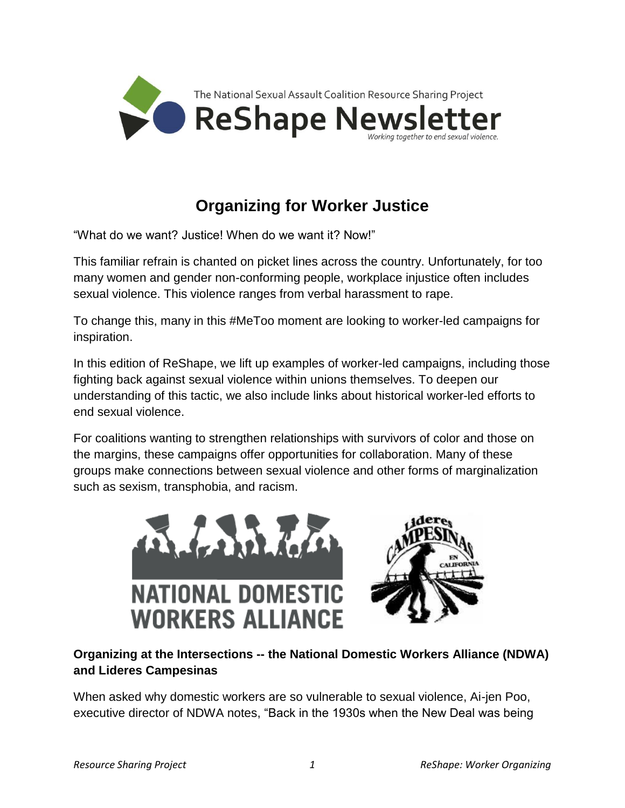

# **Organizing for Worker Justice**

"What do we want? Justice! When do we want it? Now!"

This familiar refrain is chanted on picket lines across the country. Unfortunately, for too many women and gender non-conforming people, workplace injustice often includes sexual violence. This violence ranges from verbal harassment to rape.

To change this, many in this #MeToo moment are looking to worker-led campaigns for inspiration.

In this edition of ReShape, we lift up examples of worker-led campaigns, including those fighting back against sexual violence within unions themselves. To deepen our understanding of this tactic, we also include links about historical worker-led efforts to end sexual violence.

For coalitions wanting to strengthen relationships with survivors of color and those on the margins, these campaigns offer opportunities for collaboration. Many of these groups make connections between sexual violence and other forms of marginalization such as sexism, transphobia, and racism.



## **Organizing at the Intersections -- the National Domestic Workers Alliance (NDWA) and Lideres Campesinas**

When asked why domestic workers are so vulnerable to sexual violence, Ai-jen Poo, executive director of NDWA notes, "Back in the 1930s when the New Deal was being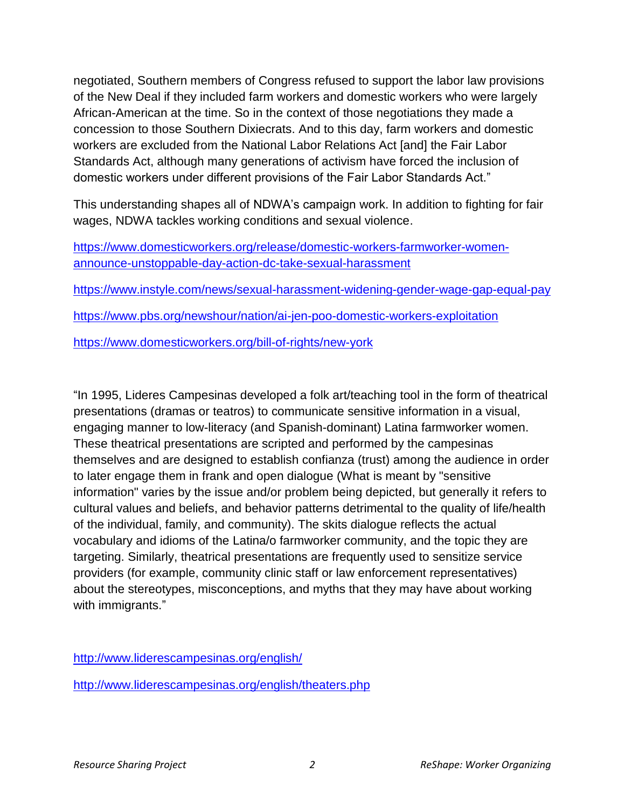negotiated, Southern members of Congress refused to support the labor law provisions of the New Deal if they included farm workers and domestic workers who were largely African-American at the time. So in the context of those negotiations they made a concession to those Southern Dixiecrats. And to this day, farm workers and domestic workers are excluded from the National Labor Relations Act [and] the Fair Labor Standards Act, although many generations of activism have forced the inclusion of domestic workers under different provisions of the Fair Labor Standards Act."

This understanding shapes all of NDWA's campaign work. In addition to fighting for fair wages, NDWA tackles working conditions and sexual violence.

| https://www.domesticworkers.org/release/domestic-workers-farmworker-women-        |
|-----------------------------------------------------------------------------------|
| announce-unstoppable-day-action-dc-take-sexual-harassment                         |
| https://www.instyle.com/news/sexual-harassment-widening-gender-wage-gap-equal-pay |
| https://www.pbs.org/newshour/nation/ai-jen-poo-domestic-workers-exploitation      |
| https://www.domesticworkers.org/bill-of-rights/new-york                           |

"In 1995, Lideres Campesinas developed a folk art/teaching tool in the form of theatrical presentations (dramas or teatros) to communicate sensitive information in a visual, engaging manner to low-literacy (and Spanish-dominant) Latina farmworker women. These theatrical presentations are scripted and performed by the campesinas themselves and are designed to establish confianza (trust) among the audience in order to later engage them in frank and open dialogue (What is meant by "sensitive information" varies by the issue and/or problem being depicted, but generally it refers to cultural values and beliefs, and behavior patterns detrimental to the quality of life/health of the individual, family, and community). The skits dialogue reflects the actual vocabulary and idioms of the Latina/o farmworker community, and the topic they are targeting. Similarly, theatrical presentations are frequently used to sensitize service providers (for example, community clinic staff or law enforcement representatives) about the stereotypes, misconceptions, and myths that they may have about working with immigrants."

<http://www.liderescampesinas.org/english/>

<http://www.liderescampesinas.org/english/theaters.php>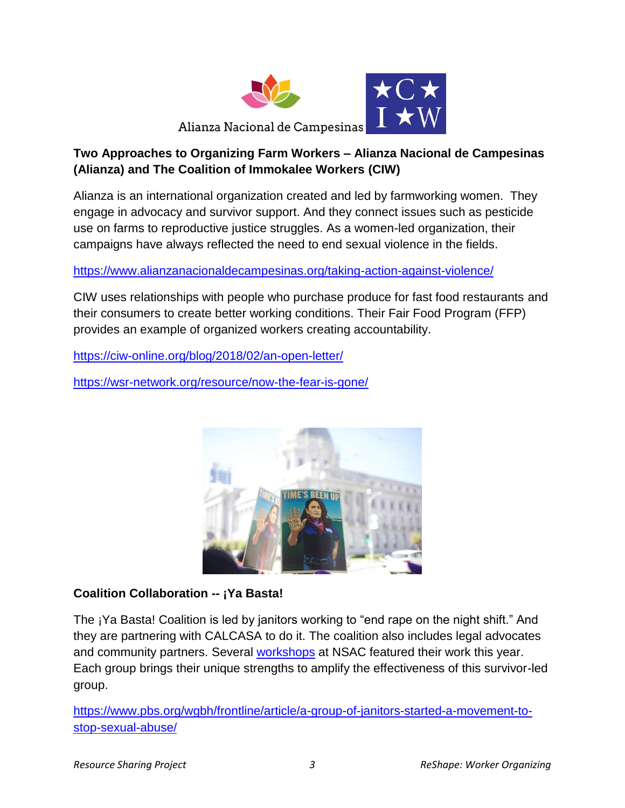

## **Two Approaches to Organizing Farm Workers – Alianza Nacional de Campesinas (Alianza) and The Coalition of Immokalee Workers (CIW)**

Alianza is an international organization created and led by farmworking women. They engage in advocacy and survivor support. And they connect issues such as pesticide use on farms to reproductive justice struggles. As a women-led organization, their campaigns have always reflected the need to end sexual violence in the fields.

<https://www.alianzanacionaldecampesinas.org/taking-action-against-violence/>

CIW uses relationships with people who purchase produce for fast food restaurants and their consumers to create better working conditions. Their Fair Food Program (FFP) provides an example of organized workers creating accountability.

<https://ciw-online.org/blog/2018/02/an-open-letter/>

<https://wsr-network.org/resource/now-the-fear-is-gone/>



#### **Coalition Collaboration -- ¡Ya Basta!**

The ¡Ya Basta! Coalition is led by janitors working to "end rape on the night shift." And they are partnering with CALCASA to do it. The coalition also includes legal advocates and community partners. Several [workshops](https://drive.google.com/drive/folders/1hGMj1916UcaOwcX40lQ1btgoM9Zpzdxs) at NSAC featured their work this year. Each group brings their unique strengths to amplify the effectiveness of this survivor-led group.

[https://www.pbs.org/wgbh/frontline/article/a-group-of-janitors-started-a-movement-to](https://www.pbs.org/wgbh/frontline/article/a-group-of-janitors-started-a-movement-to-stop-sexual-abuse/)[stop-sexual-abuse/](https://www.pbs.org/wgbh/frontline/article/a-group-of-janitors-started-a-movement-to-stop-sexual-abuse/)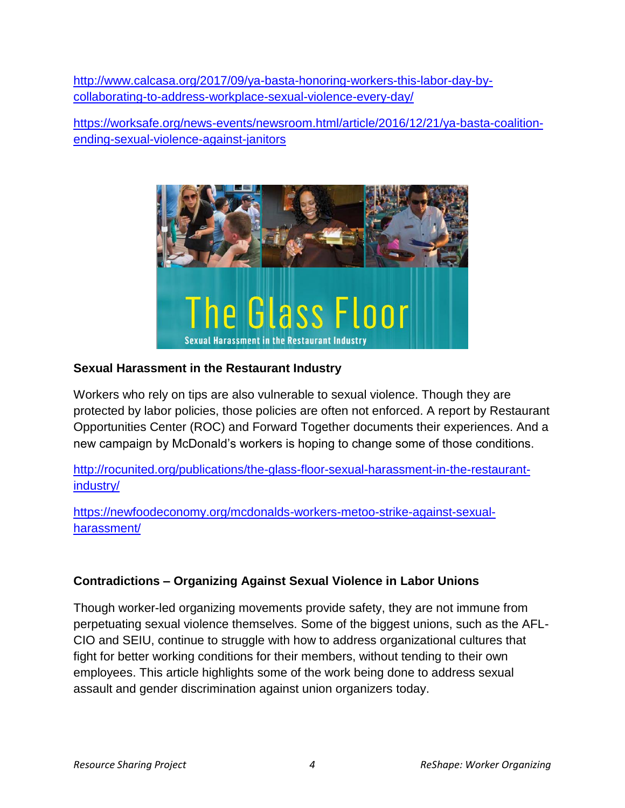[http://www.calcasa.org/2017/09/ya-basta-honoring-workers-this-labor-day-by](http://www.calcasa.org/2017/09/ya-basta-honoring-workers-this-labor-day-by-collaborating-to-address-workplace-sexual-violence-every-day/)[collaborating-to-address-workplace-sexual-violence-every-day/](http://www.calcasa.org/2017/09/ya-basta-honoring-workers-this-labor-day-by-collaborating-to-address-workplace-sexual-violence-every-day/)

[https://worksafe.org/news-events/newsroom.html/article/2016/12/21/ya-basta-coalition](https://worksafe.org/news-events/newsroom.html/article/2016/12/21/ya-basta-coalition-ending-sexual-violence-against-janitors)[ending-sexual-violence-against-janitors](https://worksafe.org/news-events/newsroom.html/article/2016/12/21/ya-basta-coalition-ending-sexual-violence-against-janitors)



#### **Sexual Harassment in the Restaurant Industry**

Workers who rely on tips are also vulnerable to sexual violence. Though they are protected by labor policies, those policies are often not enforced. A report by Restaurant Opportunities Center (ROC) and Forward Together documents their experiences. And a new campaign by McDonald's workers is hoping to change some of those conditions.

[http://rocunited.org/publications/the-glass-floor-sexual-harassment-in-the-restaurant](http://rocunited.org/publications/the-glass-floor-sexual-harassment-in-the-restaurant-industry/)[industry/](http://rocunited.org/publications/the-glass-floor-sexual-harassment-in-the-restaurant-industry/)

[https://newfoodeconomy.org/mcdonalds-workers-metoo-strike-against-sexual](https://newfoodeconomy.org/mcdonalds-workers-metoo-strike-against-sexual-harassment/)[harassment/](https://newfoodeconomy.org/mcdonalds-workers-metoo-strike-against-sexual-harassment/)

#### **Contradictions – Organizing Against Sexual Violence in Labor Unions**

Though worker-led organizing movements provide safety, they are not immune from perpetuating sexual violence themselves. Some of the biggest unions, such as the AFL-CIO and SEIU, continue to struggle with how to address organizational cultures that fight for better working conditions for their members, without tending to their own employees. This article highlights some of the work being done to address sexual assault and gender discrimination against union organizers today.